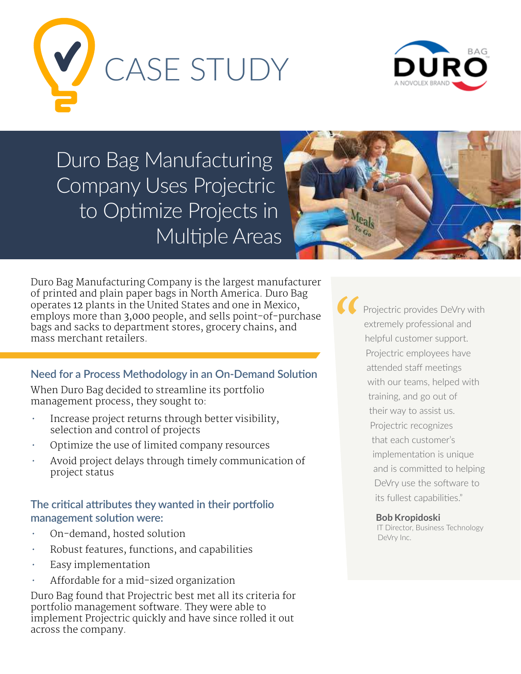



Duro Bag Manufacturing Company Uses Projectric to Optimize Projects in Multiple Areas



Duro Bag Manufacturing Company is the largest manufacturer of printed and plain paper bags in North America. Duro Bag operates 12 plants in the United States and one in Mexico, employs more than 3,000 people, and sells point-of-purchase bags and sacks to department stores, grocery chains, and mass merchant retailers.

# **Need for a Process Methodology in an On-Demand Solution**

When Duro Bag decided to streamline its portfolio management process, they sought to:

- Increase project returns through better visibility, selection and control of projects
- Optimize the use of limited company resources
- Avoid project delays through timely communication of project status

## **The critical attributes they wanted in their portfolio management solution were:**

- On-demand, hosted solution
- Robust features, functions, and capabilities
- Easy implementation
- Affordable for a mid-sized organization

Duro Bag found that Projectric best met all its criteria for portfolio management software. They were able to implement Projectric quickly and have since rolled it out across the company.

Projectric provides DeVry with extremely professional and helpful customer support. Projectric employees have attended staff meetings with our teams, helped with training, and go out of their way to assist us. Projectric recognizes that each customer's implementation is unique and is committed to helping DeVry use the software to its fullest capabilities." *"*

#### **Bob Kropidoski**

IT Director, Business Technology DeVry Inc.